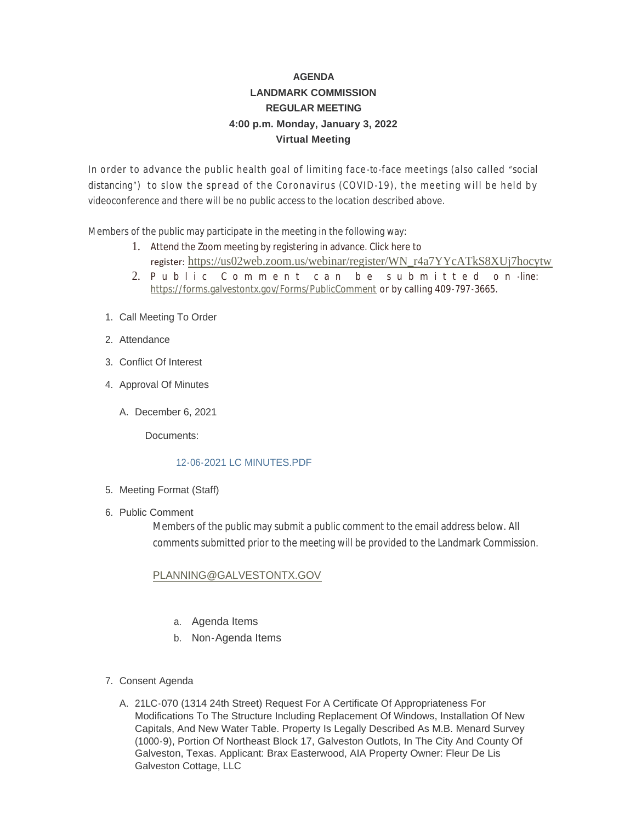# **AGENDA LANDMARK COMMISSION REGULAR MEETING 4:00 p.m. Monday, January 3, 2022 Virtual Meeting**

In order to advance the public health goal of limiting face-to-face meetings (also called "social distancing") to slow the spread of the Coronavirus (COVID-19), the meeting will be held by videoconference and there will be no public access to the location described above.

Members of the public may participate in the meeting in the following way:

- 1. Attend the Zoom meeting by registering in advance. Click here to register: [https://us02web.zoom.us/webinar/register/WN\\_r4a7YYcATkS8XUj7hocytw](https://us02web.zoom.us/webinar/register/WN_r4a7YYcATkS8XUj7hocytw)
- 2. [Public Comment can be](https://forms.galvestontx.gov/Forms/PublicComment) submitted on -line: https://forms.galvestontx.gov/Forms/PublicComment or by calling 409-797-3665.
- 1. Call Meeting To Order
- 2. Attendance
- Conflict Of Interest 3.
- 4. Approval Of Minutes
	- A. December 6, 2021

Documents:

## [12-06-2021 LC MINUTES.PDF](https://www.galvestontx.gov/AgendaCenter/ViewFile/Item/13530?fileID=31802)

- 5. Meeting Format (Staff)
- 6. Public Comment

Members of the public may submit a public comment to the email address below. All comments submitted prior to the meeting will be provided to the Landmark Commission.

## [PLANNING@GALVESTONTX.GOV](mailto:Planning@Galvestontx.gov)

- a. Agenda Items
- b. Non-Agenda Items
- 7. Consent Agenda
	- A. 21LC-070 (1314 24th Street) Request For A Certificate Of Appropriateness For Modifications To The Structure Including Replacement Of Windows, Installation Of New Capitals, And New Water Table. Property Is Legally Described As M.B. Menard Survey (1000-9), Portion Of Northeast Block 17, Galveston Outlots, In The City And County Of Galveston, Texas. Applicant: Brax Easterwood, AIA Property Owner: Fleur De Lis Galveston Cottage, LLC